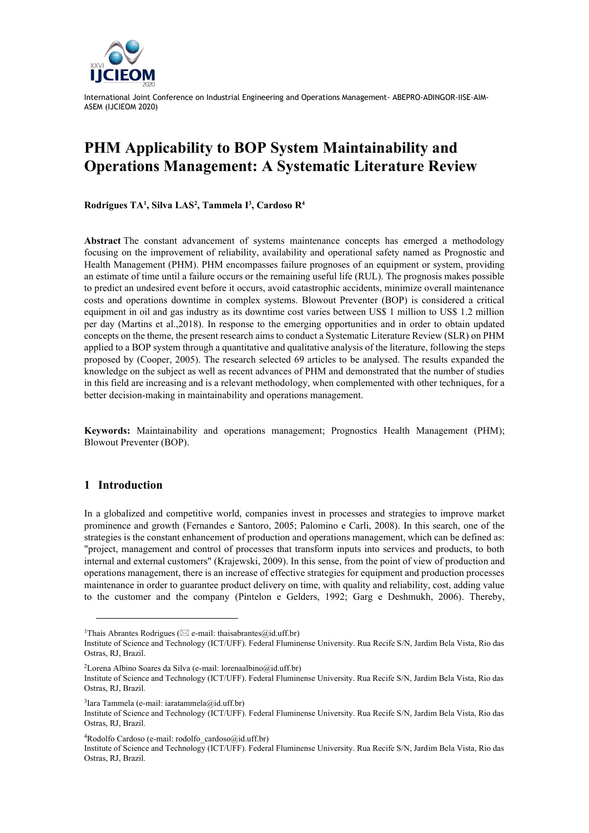

# **PHM Applicability to BOP System Maintainability and Operations Management: A Systematic Literature Review**

**Rodrigues TA<sup>1</sup> , Silva LAS<sup>2</sup> , Tammela I<sup>3</sup> , Cardoso R<sup>4</sup>**

**Abstract** The constant advancement of systems maintenance concepts has emerged a methodology focusing on the improvement of reliability, availability and operational safety named as Prognostic and Health Management (PHM). PHM encompasses failure prognoses of an equipment or system, providing an estimate of time until a failure occurs or the remaining useful life (RUL). The prognosis makes possible to predict an undesired event before it occurs, avoid catastrophic accidents, minimize overall maintenance costs and operations downtime in complex systems. Blowout Preventer (BOP) is considered a critical equipment in oil and gas industry as its downtime cost varies between US\$ 1 million to US\$ 1.2 million per day (Martins et al.,2018). In response to the emerging opportunities and in order to obtain updated concepts on the theme, the present research aims to conduct a Systematic Literature Review (SLR) on PHM applied to a BOP system through a quantitative and qualitative analysis of the literature, following the steps proposed by (Cooper, 2005). The research selected 69 articles to be analysed. The results expanded the knowledge on the subject as well as recent advances of PHM and demonstrated that the number of studies in this field are increasing and is a relevant methodology, when complemented with other techniques, for a better decision-making in maintainability and operations management.

**Keywords:** Maintainability and operations management; Prognostics Health Management (PHM); Blowout Preventer (BOP).

## **1 Introduction**

In a globalized and competitive world, companies invest in processes and strategies to improve market prominence and growth (Fernandes e Santoro, 2005; Palomino e Carli, 2008). In this search, one of the strategies is the constant enhancement of production and operations management, which can be defined as: "project, management and control of processes that transform inputs into services and products, to both internal and external customers" (Krajewski, 2009). In this sense, from the point of view of production and operations management, there is an increase of effective strategies for equipment and production processes maintenance in order to guarantee product delivery on time, with quality and reliability, cost, adding value to the customer and the company (Pintelon e Gelders, 1992; Garg e Deshmukh, 2006). Thereby,

<sup>2</sup>Lorena Albino Soares da Silva (e-mail: lorenaalbino@id.uff.br)

3 Iara Tammela (e-mail: iaratammela@id.uff.br)

 $4Rodolfo$  Cardoso (e-mail: rodolfo\_cardoso@id.uff.br)

<sup>&</sup>lt;sup>1</sup>Thaís Abrantes Rodrigues ( $\boxtimes$  e-mail: thaisabrantes@id.uff.br)

Institute of Science and Technology (ICT/UFF). Federal Fluminense University. Rua Recife S/N, Jardim Bela Vista, Rio das Ostras, RJ, Brazil.

Institute of Science and Technology (ICT/UFF). Federal Fluminense University. Rua Recife S/N, Jardim Bela Vista, Rio das Ostras, RJ, Brazil.

Institute of Science and Technology (ICT/UFF). Federal Fluminense University. Rua Recife S/N, Jardim Bela Vista, Rio das Ostras, RJ, Brazil.

Institute of Science and Technology (ICT/UFF). Federal Fluminense University. Rua Recife S/N, Jardim Bela Vista, Rio das Ostras, RJ, Brazil.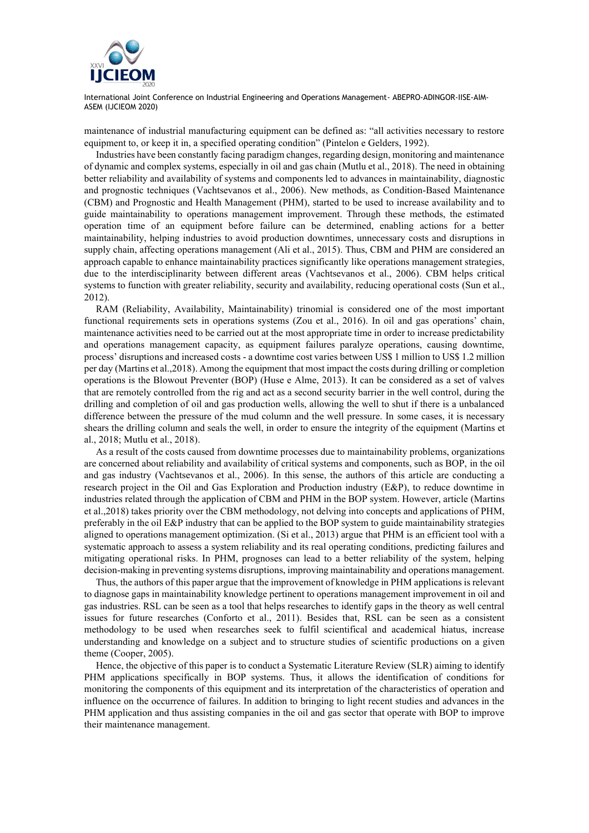

maintenance of industrial manufacturing equipment can be defined as: "all activities necessary to restore equipment to, or keep it in, a specified operating condition" (Pintelon e Gelders, 1992).

Industries have been constantly facing paradigm changes, regarding design, monitoring and maintenance of dynamic and complex systems, especially in oil and gas chain (Mutlu et al., 2018). The need in obtaining better reliability and availability of systems and components led to advances in maintainability, diagnostic and prognostic techniques (Vachtsevanos et al., 2006). New methods, as Condition-Based Maintenance (CBM) and Prognostic and Health Management (PHM), started to be used to increase availability and to guide maintainability to operations management improvement. Through these methods, the estimated operation time of an equipment before failure can be determined, enabling actions for a better maintainability, helping industries to avoid production downtimes, unnecessary costs and disruptions in supply chain, affecting operations management (Ali et al., 2015). Thus, CBM and PHM are considered an approach capable to enhance maintainability practices significantly like operations management strategies, due to the interdisciplinarity between different areas (Vachtsevanos et al., 2006). CBM helps critical systems to function with greater reliability, security and availability, reducing operational costs (Sun et al., 2012).

RAM (Reliability, Availability, Maintainability) trinomial is considered one of the most important functional requirements sets in operations systems (Zou et al., 2016). In oil and gas operations' chain, maintenance activities need to be carried out at the most appropriate time in order to increase predictability and operations management capacity, as equipment failures paralyze operations, causing downtime, process' disruptions and increased costs - a downtime cost varies between US\$ 1 million to US\$ 1.2 million per day (Martins et al.,2018). Among the equipment that most impact the costs during drilling or completion operations is the Blowout Preventer (BOP) (Huse e Alme, 2013). It can be considered as a set of valves that are remotely controlled from the rig and act as a second security barrier in the well control, during the drilling and completion of oil and gas production wells, allowing the well to shut if there is a unbalanced difference between the pressure of the mud column and the well pressure. In some cases, it is necessary shears the drilling column and seals the well, in order to ensure the integrity of the equipment (Martins et al., 2018; Mutlu et al., 2018).

As a result of the costs caused from downtime processes due to maintainability problems, organizations are concerned about reliability and availability of critical systems and components, such as BOP, in the oil and gas industry (Vachtsevanos et al., 2006). In this sense, the authors of this article are conducting a research project in the Oil and Gas Exploration and Production industry (E&P), to reduce downtime in industries related through the application of CBM and PHM in the BOP system. However, article (Martins et al.,2018) takes priority over the CBM methodology, not delving into concepts and applications of PHM, preferably in the oil E&P industry that can be applied to the BOP system to guide maintainability strategies aligned to operations management optimization. (Si et al., 2013) argue that PHM is an efficient tool with a systematic approach to assess a system reliability and its real operating conditions, predicting failures and mitigating operational risks. In PHM, prognoses can lead to a better reliability of the system, helping decision-making in preventing systems disruptions, improving maintainability and operations management.

Thus, the authors of this paper argue that the improvement of knowledge in PHM applications is relevant to diagnose gaps in maintainability knowledge pertinent to operations management improvement in oil and gas industries. RSL can be seen as a tool that helps researches to identify gaps in the theory as well central issues for future researches (Conforto et al., 2011). Besides that, RSL can be seen as a consistent methodology to be used when researches seek to fulfil scientifical and academical hiatus, increase understanding and knowledge on a subject and to structure studies of scientific productions on a given theme (Cooper, 2005).

Hence, the objective of this paper is to conduct a Systematic Literature Review (SLR) aiming to identify PHM applications specifically in BOP systems. Thus, it allows the identification of conditions for monitoring the components of this equipment and its interpretation of the characteristics of operation and influence on the occurrence of failures. In addition to bringing to light recent studies and advances in the PHM application and thus assisting companies in the oil and gas sector that operate with BOP to improve their maintenance management.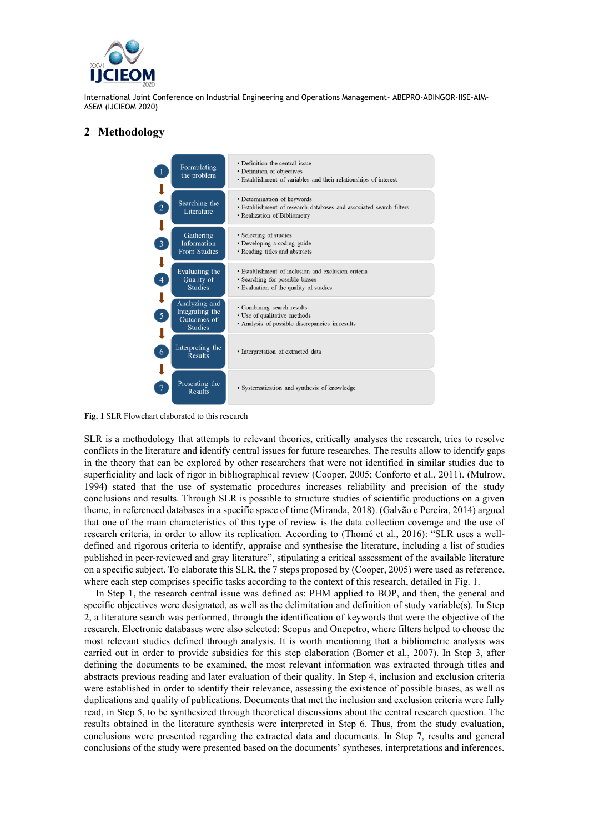

## **2 Methodology**



**Fig. 1** SLR Flowchart elaborated to this research

SLR is a methodology that attempts to relevant theories, critically analyses the research, tries to resolve conflicts in the literature and identify central issues for future researches. The results allow to identify gaps in the theory that can be explored by other researchers that were not identified in similar studies due to superficiality and lack of rigor in bibliographical review (Cooper, 2005; Conforto et al., 2011). (Mulrow, 1994) stated that the use of systematic procedures increases reliability and precision of the study conclusions and results. Through SLR is possible to structure studies of scientific productions on a given theme, in referenced databases in a specific space of time (Miranda, 2018). (Galvão e Pereira, 2014) argued that one of the main characteristics of this type of review is the data collection coverage and the use of research criteria, in order to allow its replication. According to (Thomé et al., 2016): "SLR uses a welldefined and rigorous criteria to identify, appraise and synthesise the literature, including a list of studies published in peer-reviewed and gray literature", stipulating a critical assessment of the available literature on a specific subject. To elaborate this SLR, the 7 steps proposed by (Cooper, 2005) were used as reference, where each step comprises specific tasks according to the context of this research, detailed in Fig. 1.

In Step 1, the research central issue was defined as: PHM applied to BOP, and then, the general and specific objectives were designated, as well as the delimitation and definition of study variable(s). In Step 2, a literature search was performed, through the identification of keywords that were the objective of the research. Electronic databases were also selected: Scopus and Onepetro, where filters helped to choose the most relevant studies defined through analysis. It is worth mentioning that a bibliometric analysis was carried out in order to provide subsidies for this step elaboration (Borner et al., 2007). In Step 3, after defining the documents to be examined, the most relevant information was extracted through titles and abstracts previous reading and later evaluation of their quality. In Step 4, inclusion and exclusion criteria were established in order to identify their relevance, assessing the existence of possible biases, as well as duplications and quality of publications. Documents that met the inclusion and exclusion criteria were fully read, in Step 5, to be synthesized through theoretical discussions about the central research question. The results obtained in the literature synthesis were interpreted in Step 6. Thus, from the study evaluation, conclusions were presented regarding the extracted data and documents. In Step 7, results and general conclusions of the study were presented based on the documents' syntheses, interpretations and inferences.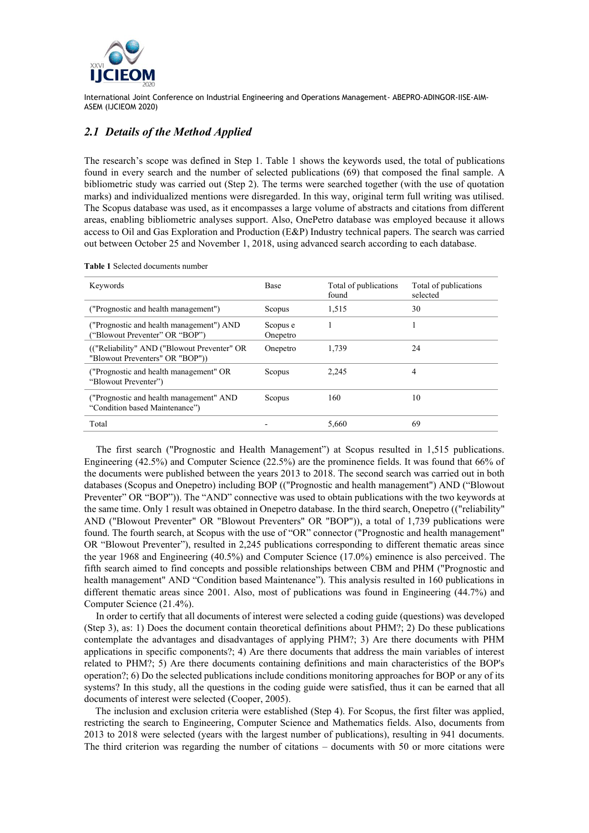

## *2.1 Details of the Method Applied*

The research's scope was defined in Step 1. Table 1 shows the keywords used, the total of publications found in every search and the number of selected publications (69) that composed the final sample. A bibliometric study was carried out (Step 2). The terms were searched together (with the use of quotation marks) and individualized mentions were disregarded. In this way, original term full writing was utilised. The Scopus database was used, as it encompasses a large volume of abstracts and citations from different areas, enabling bibliometric analyses support. Also, OnePetro database was employed because it allows access to Oil and Gas Exploration and Production (E&P) Industry technical papers. The search was carried out between October 25 and November 1, 2018, using advanced search according to each database.

| Keywords                                                                       | <b>Base</b>          | Total of publications<br>found | Total of publications<br>selected |
|--------------------------------------------------------------------------------|----------------------|--------------------------------|-----------------------------------|
| ("Prognostic and health management")                                           | Scopus               | 1,515                          | 30                                |
| ("Prognostic and health management") AND<br>("Blowout Preventer" OR "BOP")     | Scopus e<br>Onepetro |                                |                                   |
| (("Reliability" AND ("Blowout Preventer" OR<br>"Blowout Preventers" OR "BOP")) | Onepetro             | 1.739                          | 24                                |
| ("Prognostic and health management" OR<br>"Blowout Preventer")                 | Scopus               | 2.245                          | 4                                 |
| ("Prognostic and health management" AND<br>"Condition based Maintenance")      | Scopus               | 160                            | 10                                |
| Total                                                                          |                      | 5.660                          | 69                                |

**Table 1** Selected documents number

The first search ("Prognostic and Health Management") at Scopus resulted in 1,515 publications. Engineering (42.5%) and Computer Science (22.5%) are the prominence fields. It was found that 66% of the documents were published between the years 2013 to 2018. The second search was carried out in both databases (Scopus and Onepetro) including BOP (("Prognostic and health management") AND ("Blowout Preventer" OR "BOP")). The "AND" connective was used to obtain publications with the two keywords at the same time. Only 1 result was obtained in Onepetro database. In the third search, Onepetro (("reliability" AND ("Blowout Preventer" OR "Blowout Preventers" OR "BOP")), a total of 1,739 publications were found. The fourth search, at Scopus with the use of "OR" connector ("Prognostic and health management" OR "Blowout Preventer"), resulted in 2,245 publications corresponding to different thematic areas since the year 1968 and Engineering (40.5%) and Computer Science (17.0%) eminence is also perceived. The fifth search aimed to find concepts and possible relationships between CBM and PHM ("Prognostic and health management" AND "Condition based Maintenance"). This analysis resulted in 160 publications in different thematic areas since 2001. Also, most of publications was found in Engineering (44.7%) and Computer Science (21.4%).

In order to certify that all documents of interest were selected a coding guide (questions) was developed (Step 3), as: 1) Does the document contain theoretical definitions about PHM?; 2) Do these publications contemplate the advantages and disadvantages of applying PHM?; 3) Are there documents with PHM applications in specific components?; 4) Are there documents that address the main variables of interest related to PHM?; 5) Are there documents containing definitions and main characteristics of the BOP's operation?; 6) Do the selected publications include conditions monitoring approaches for BOP or any of its systems? In this study, all the questions in the coding guide were satisfied, thus it can be earned that all documents of interest were selected (Cooper, 2005).

The inclusion and exclusion criteria were established (Step 4). For Scopus, the first filter was applied, restricting the search to Engineering, Computer Science and Mathematics fields. Also, documents from 2013 to 2018 were selected (years with the largest number of publications), resulting in 941 documents. The third criterion was regarding the number of citations – documents with 50 or more citations were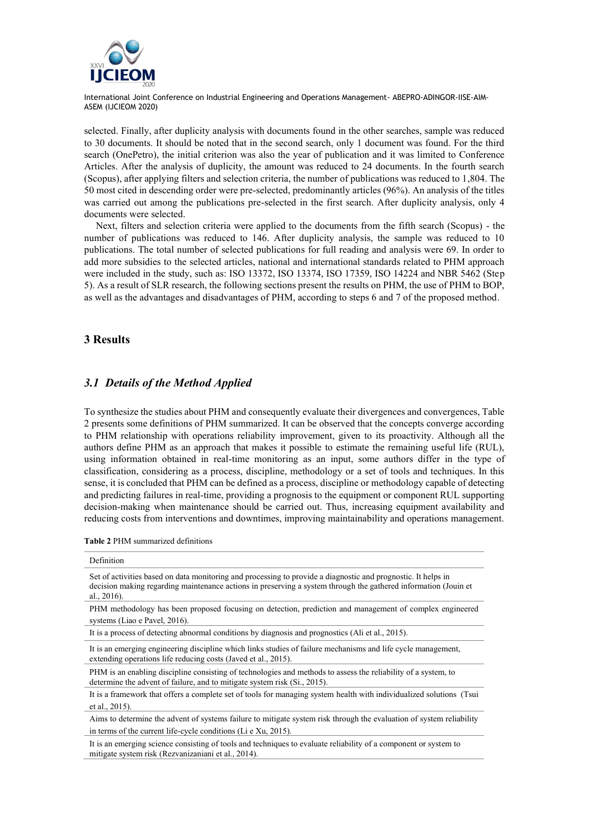

selected. Finally, after duplicity analysis with documents found in the other searches, sample was reduced to 30 documents. It should be noted that in the second search, only 1 document was found. For the third search (OnePetro), the initial criterion was also the year of publication and it was limited to Conference Articles. After the analysis of duplicity, the amount was reduced to 24 documents. In the fourth search (Scopus), after applying filters and selection criteria, the number of publications was reduced to 1,804. The 50 most cited in descending order were pre-selected, predominantly articles (96%). An analysis of the titles was carried out among the publications pre-selected in the first search. After duplicity analysis, only 4 documents were selected.

Next, filters and selection criteria were applied to the documents from the fifth search (Scopus) - the number of publications was reduced to 146. After duplicity analysis, the sample was reduced to 10 publications. The total number of selected publications for full reading and analysis were 69. In order to add more subsidies to the selected articles, national and international standards related to PHM approach were included in the study, such as: ISO 13372, ISO 13374, ISO 17359, ISO 14224 and NBR 5462 (Step 5). As a result of SLR research, the following sections present the results on PHM, the use of PHM to BOP, as well as the advantages and disadvantages of PHM, according to steps 6 and 7 of the proposed method.

## **3 Results**

## *3.1 Details of the Method Applied*

To synthesize the studies about PHM and consequently evaluate their divergences and convergences, Table 2 presents some definitions of PHM summarized. It can be observed that the concepts converge according to PHM relationship with operations reliability improvement, given to its proactivity. Although all the authors define PHM as an approach that makes it possible to estimate the remaining useful life (RUL), using information obtained in real-time monitoring as an input, some authors differ in the type of classification, considering as a process, discipline, methodology or a set of tools and techniques. In this sense, it is concluded that PHM can be defined as a process, discipline or methodology capable of detecting and predicting failures in real-time, providing a prognosis to the equipment or component RUL supporting decision-making when maintenance should be carried out. Thus, increasing equipment availability and reducing costs from interventions and downtimes, improving maintainability and operations management.

**Table 2** PHM summarized definitions

| Definition                                                                                                                                                                                                                                         |
|----------------------------------------------------------------------------------------------------------------------------------------------------------------------------------------------------------------------------------------------------|
| Set of activities based on data monitoring and processing to provide a diagnostic and prognostic. It helps in<br>decision making regarding maintenance actions in preserving a system through the gathered information (Jouin et<br>al., $2016$ ). |
| PHM methodology has been proposed focusing on detection, prediction and management of complex engineered                                                                                                                                           |
| systems (Liao e Pavel, 2016).                                                                                                                                                                                                                      |
| It is a process of detecting abnormal conditions by diagnosis and prognostics (Ali et al., 2015).                                                                                                                                                  |
| It is an emerging engineering discipline which links studies of failure mechanisms and life cycle management,<br>extending operations life reducing costs (Javed et al., 2015).                                                                    |
| PHM is an enabling discipline consisting of technologies and methods to assess the reliability of a system, to<br>determine the advent of failure, and to mitigate system risk (Si., 2015).                                                        |
| It is a framework that offers a complete set of tools for managing system health with individualized solutions (Tsui                                                                                                                               |
| et al., 2015).                                                                                                                                                                                                                                     |
| Aims to determine the advent of systems failure to mitigate system risk through the evaluation of system reliability                                                                                                                               |
| in terms of the current life-cycle conditions (Li e Xu, 2015).                                                                                                                                                                                     |
| It is an emerging science consisting of tools and techniques to evaluate reliability of a component or system to<br>mitigate system risk (Rezvanizaniani et al., 2014).                                                                            |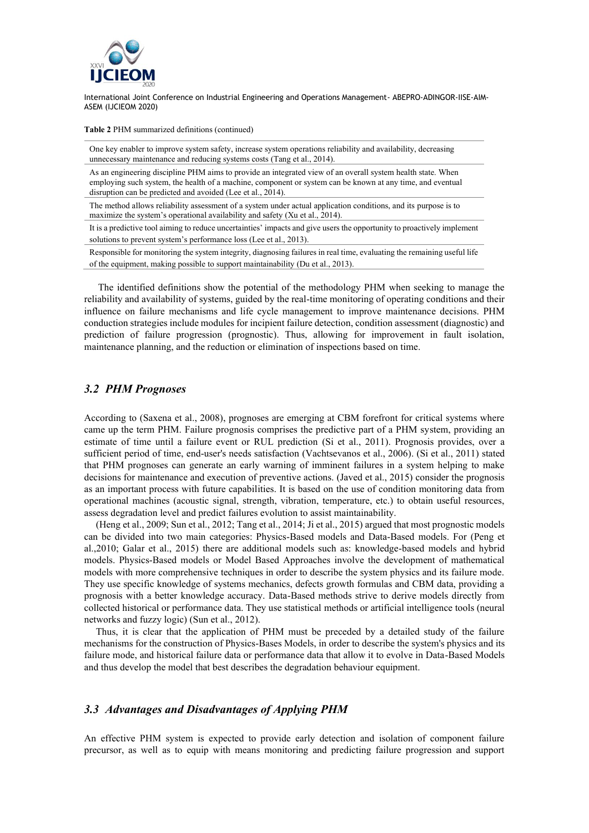

**Table 2** PHM summarized definitions (continued)

One key enabler to improve system safety, increase system operations reliability and availability, decreasing unnecessary maintenance and reducing systems costs (Tang et al., 2014).

As an engineering discipline PHM aims to provide an integrated view of an overall system health state. When employing such system, the health of a machine, component or system can be known at any time, and eventual disruption can be predicted and avoided (Lee et al., 2014).

The method allows reliability assessment of a system under actual application conditions, and its purpose is to maximize the system's operational availability and safety (Xu et al., 2014).

It is a predictive tool aiming to reduce uncertainties' impacts and give users the opportunity to proactively implement solutions to prevent system's performance loss (Lee et al., 2013).

Responsible for monitoring the system integrity, diagnosing failures in real time, evaluating the remaining useful life of the equipment, making possible to support maintainability (Du et al., 2013).

The identified definitions show the potential of the methodology PHM when seeking to manage the reliability and availability of systems, guided by the real-time monitoring of operating conditions and their influence on failure mechanisms and life cycle management to improve maintenance decisions. PHM conduction strategies include modules for incipient failure detection, condition assessment (diagnostic) and prediction of failure progression (prognostic). Thus, allowing for improvement in fault isolation, maintenance planning, and the reduction or elimination of inspections based on time.

#### *3.2 PHM Prognoses*

According to (Saxena et al., 2008), prognoses are emerging at CBM forefront for critical systems where came up the term PHM. Failure prognosis comprises the predictive part of a PHM system, providing an estimate of time until a failure event or RUL prediction (Si et al., 2011). Prognosis provides, over a sufficient period of time, end-user's needs satisfaction (Vachtsevanos et al., 2006). (Si et al., 2011) stated that PHM prognoses can generate an early warning of imminent failures in a system helping to make decisions for maintenance and execution of preventive actions. (Javed et al., 2015) consider the prognosis as an important process with future capabilities. It is based on the use of condition monitoring data from operational machines (acoustic signal, strength, vibration, temperature, etc.) to obtain useful resources, assess degradation level and predict failures evolution to assist maintainability.

(Heng et al., 2009; Sun et al., 2012; Tang et al., 2014; Ji et al., 2015) argued that most prognostic models can be divided into two main categories: Physics-Based models and Data-Based models. For (Peng et al.,2010; Galar et al., 2015) there are additional models such as: knowledge-based models and hybrid models. Physics-Based models or Model Based Approaches involve the development of mathematical models with more comprehensive techniques in order to describe the system physics and its failure mode. They use specific knowledge of systems mechanics, defects growth formulas and CBM data, providing a prognosis with a better knowledge accuracy. Data-Based methods strive to derive models directly from collected historical or performance data. They use statistical methods or artificial intelligence tools (neural networks and fuzzy logic) (Sun et al., 2012).

Thus, it is clear that the application of PHM must be preceded by a detailed study of the failure mechanisms for the construction of Physics-Bases Models, in order to describe the system's physics and its failure mode, and historical failure data or performance data that allow it to evolve in Data-Based Models and thus develop the model that best describes the degradation behaviour equipment.

#### *3.3 Advantages and Disadvantages of Applying PHM*

An effective PHM system is expected to provide early detection and isolation of component failure precursor, as well as to equip with means monitoring and predicting failure progression and support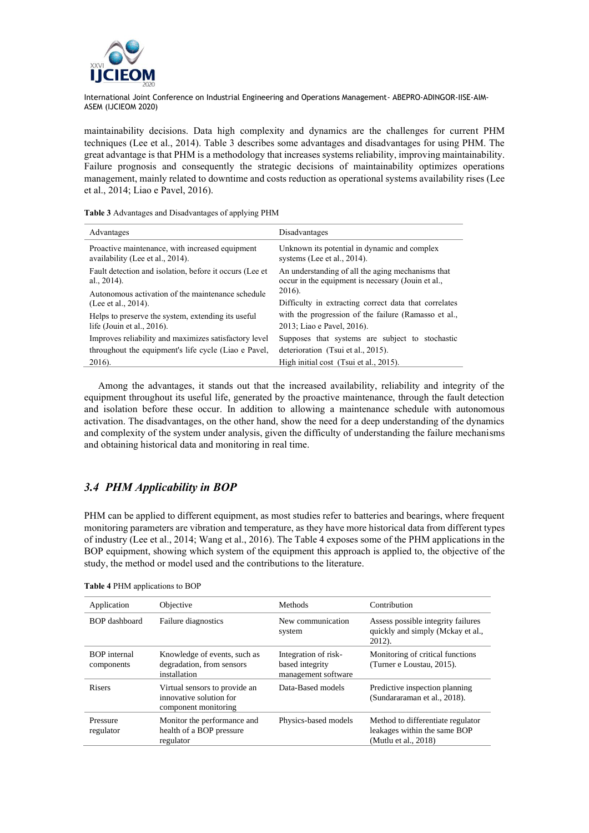

maintainability decisions. Data high complexity and dynamics are the challenges for current PHM techniques (Lee et al., 2014). Table 3 describes some advantages and disadvantages for using PHM. The great advantage is that PHM is a methodology that increases systems reliability, improving maintainability. Failure prognosis and consequently the strategic decisions of maintainability optimizes operations management, mainly related to downtime and costs reduction as operational systems availability rises (Lee et al., 2014; Liao e Pavel, 2016).

**Table 3** Advantages and Disadvantages of applying PHM

| Advantages                                                                          | Disadvantages                                                                                           |  |
|-------------------------------------------------------------------------------------|---------------------------------------------------------------------------------------------------------|--|
| Proactive maintenance, with increased equipment<br>availability (Lee et al., 2014). | Unknown its potential in dynamic and complex<br>systems (Lee et al., $2014$ ).                          |  |
| Fault detection and isolation, before it occurs (Lee et<br>al., $2014$ ).           | An understanding of all the aging mechanisms that<br>occur in the equipment is necessary (Jouin et al., |  |
| Autonomous activation of the maintenance schedule<br>(Lee et al., 2014).            | 2016).<br>Difficulty in extracting correct data that correlates                                         |  |
| Helps to preserve the system, extending its useful                                  | with the progression of the failure (Ramasso et al.,                                                    |  |
| life (Jouin et al., $2016$ ).                                                       | 2013; Liao e Pavel, 2016).                                                                              |  |
| Improves reliability and maximizes satisfactory level                               | Supposes that systems are subject to stochastic                                                         |  |
| throughout the equipment's life cycle (Liao e Pavel,                                | deterioration (Tsui et al., 2015).                                                                      |  |
| 2016).                                                                              | High initial cost (Tsui et al., 2015).                                                                  |  |

Among the advantages, it stands out that the increased availability, reliability and integrity of the equipment throughout its useful life, generated by the proactive maintenance, through the fault detection and isolation before these occur. In addition to allowing a maintenance schedule with autonomous activation. The disadvantages, on the other hand, show the need for a deep understanding of the dynamics and complexity of the system under analysis, given the difficulty of understanding the failure mechanisms and obtaining historical data and monitoring in real time.

## *3.4 PHM Applicability in BOP*

PHM can be applied to different equipment, as most studies refer to batteries and bearings, where frequent monitoring parameters are vibration and temperature, as they have more historical data from different types of industry (Lee et al., 2014; Wang et al., 2016). The Table 4 exposes some of the PHM applications in the BOP equipment, showing which system of the equipment this approach is applied to, the objective of the study, the method or model used and the contributions to the literature.

| Application                       | Objective                                                                        | Methods                                                        | Contribution                                                                              |
|-----------------------------------|----------------------------------------------------------------------------------|----------------------------------------------------------------|-------------------------------------------------------------------------------------------|
| BOP dashboard                     | Failure diagnostics                                                              | New communication<br>system                                    | Assess possible integrity failures<br>quickly and simply (Mckay et al.,<br>$2012$ ).      |
| <b>BOP</b> internal<br>components | Knowledge of events, such as<br>degradation, from sensors<br>installation        | Integration of risk-<br>based integrity<br>management software | Monitoring of critical functions<br>(Turner e Loustau, 2015).                             |
| <b>Risers</b>                     | Virtual sensors to provide an<br>innovative solution for<br>component monitoring | Data-Based models                                              | Predictive inspection planning<br>(Sundararaman et al., 2018).                            |
| Pressure<br>regulator             | Monitor the performance and<br>health of a BOP pressure<br>regulator             | Physics-based models                                           | Method to differentiate regulator<br>leakages within the same BOP<br>(Mutlu et al., 2018) |

**Table 4** PHM applications to BOP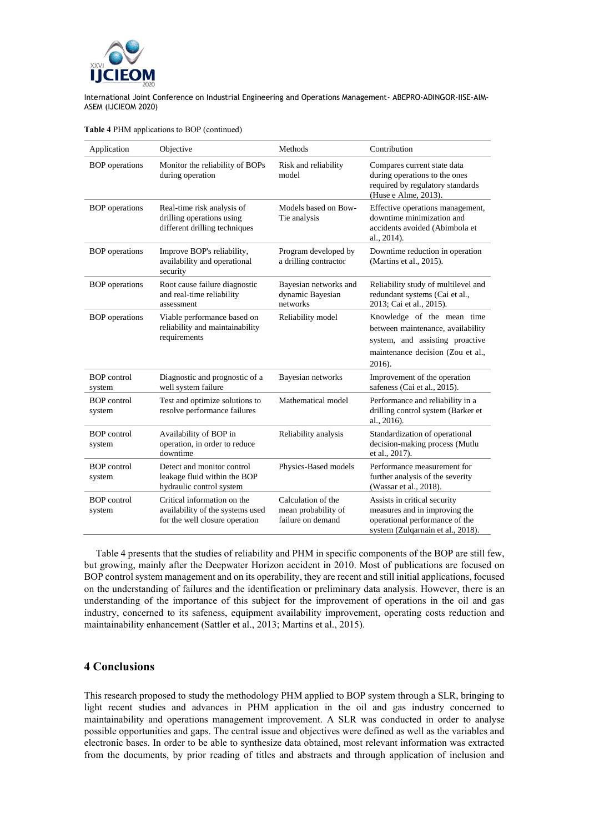

|  |  | Table 4 PHM applications to BOP (continued) |  |  |
|--|--|---------------------------------------------|--|--|
|--|--|---------------------------------------------|--|--|

| Application                  | Objective                                                                                         | Methods                                                        | Contribution                                                                                                                                      |
|------------------------------|---------------------------------------------------------------------------------------------------|----------------------------------------------------------------|---------------------------------------------------------------------------------------------------------------------------------------------------|
| <b>BOP</b> operations        | Monitor the reliability of BOPs<br>during operation                                               | Risk and reliability<br>model                                  | Compares current state data<br>during operations to the ones<br>required by regulatory standards<br>(Huse e Alme, 2013).                          |
| <b>BOP</b> operations        | Real-time risk analysis of<br>drilling operations using<br>different drilling techniques          | Models based on Bow-<br>Tie analysis                           | Effective operations management,<br>downtime minimization and<br>accidents avoided (Abimbola et<br>al., 2014).                                    |
| <b>BOP</b> operations        | Improve BOP's reliability,<br>availability and operational<br>security                            | Program developed by<br>a drilling contractor                  | Downtime reduction in operation<br>(Martins et al., 2015).                                                                                        |
| <b>BOP</b> operations        | Root cause failure diagnostic<br>and real-time reliability<br>assessment                          | Bayesian networks and<br>dynamic Bayesian<br>networks          | Reliability study of multilevel and<br>redundant systems (Cai et al.,<br>2013; Cai et al., 2015).                                                 |
| <b>BOP</b> operations        | Viable performance based on<br>reliability and maintainability<br>requirements                    | Reliability model                                              | Knowledge of the mean time<br>between maintenance, availability<br>system, and assisting proactive<br>maintenance decision (Zou et al.,<br>2016). |
| <b>BOP</b> control<br>system | Diagnostic and prognostic of a<br>well system failure                                             | Bayesian networks                                              | Improvement of the operation<br>safeness (Cai et al., 2015).                                                                                      |
| <b>BOP</b> control<br>system | Test and optimize solutions to<br>resolve performance failures                                    | Mathematical model                                             | Performance and reliability in a<br>drilling control system (Barker et<br>al., 2016).                                                             |
| <b>BOP</b> control<br>system | Availability of BOP in<br>operation, in order to reduce<br>downtime                               | Reliability analysis                                           | Standardization of operational<br>decision-making process (Mutlu<br>et al., 2017).                                                                |
| <b>BOP</b> control<br>system | Detect and monitor control<br>leakage fluid within the BOP<br>hydraulic control system            | Physics-Based models                                           | Performance measurement for<br>further analysis of the severity<br>(Wassar et al., 2018).                                                         |
| <b>BOP</b> control<br>system | Critical information on the<br>availability of the systems used<br>for the well closure operation | Calculation of the<br>mean probability of<br>failure on demand | Assists in critical security<br>measures and in improving the<br>operational performance of the<br>system (Zulqarnain et al., 2018).              |

Table 4 presents that the studies of reliability and PHM in specific components of the BOP are still few, but growing, mainly after the Deepwater Horizon accident in 2010. Most of publications are focused on BOP control system management and on its operability, they are recent and still initial applications, focused on the understanding of failures and the identification or preliminary data analysis. However, there is an understanding of the importance of this subject for the improvement of operations in the oil and gas industry, concerned to its safeness, equipment availability improvement, operating costs reduction and maintainability enhancement (Sattler et al., 2013; Martins et al., 2015).

#### **4 Conclusions**

This research proposed to study the methodology PHM applied to BOP system through a SLR, bringing to light recent studies and advances in PHM application in the oil and gas industry concerned to maintainability and operations management improvement. A SLR was conducted in order to analyse possible opportunities and gaps. The central issue and objectives were defined as well as the variables and electronic bases. In order to be able to synthesize data obtained, most relevant information was extracted from the documents, by prior reading of titles and abstracts and through application of inclusion and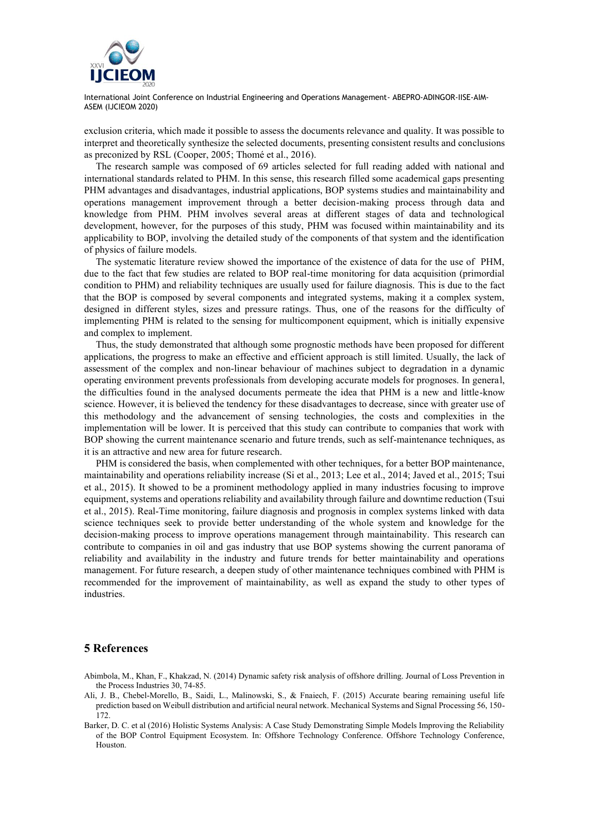

exclusion criteria, which made it possible to assess the documents relevance and quality. It was possible to interpret and theoretically synthesize the selected documents, presenting consistent results and conclusions as preconized by RSL (Cooper, 2005; Thomé et al., 2016).

The research sample was composed of 69 articles selected for full reading added with national and international standards related to PHM. In this sense, this research filled some academical gaps presenting PHM advantages and disadvantages, industrial applications, BOP systems studies and maintainability and operations management improvement through a better decision-making process through data and knowledge from PHM. PHM involves several areas at different stages of data and technological development, however, for the purposes of this study, PHM was focused within maintainability and its applicability to BOP, involving the detailed study of the components of that system and the identification of physics of failure models.

The systematic literature review showed the importance of the existence of data for the use of PHM, due to the fact that few studies are related to BOP real-time monitoring for data acquisition (primordial condition to PHM) and reliability techniques are usually used for failure diagnosis. This is due to the fact that the BOP is composed by several components and integrated systems, making it a complex system, designed in different styles, sizes and pressure ratings. Thus, one of the reasons for the difficulty of implementing PHM is related to the sensing for multicomponent equipment, which is initially expensive and complex to implement.

Thus, the study demonstrated that although some prognostic methods have been proposed for different applications, the progress to make an effective and efficient approach is still limited. Usually, the lack of assessment of the complex and non-linear behaviour of machines subject to degradation in a dynamic operating environment prevents professionals from developing accurate models for prognoses. In general, the difficulties found in the analysed documents permeate the idea that PHM is a new and little-know science. However, it is believed the tendency for these disadvantages to decrease, since with greater use of this methodology and the advancement of sensing technologies, the costs and complexities in the implementation will be lower. It is perceived that this study can contribute to companies that work with BOP showing the current maintenance scenario and future trends, such as self-maintenance techniques, as it is an attractive and new area for future research.

PHM is considered the basis, when complemented with other techniques, for a better BOP maintenance, maintainability and operations reliability increase (Si et al., 2013; Lee et al., 2014; Javed et al., 2015; Tsui et al., 2015). It showed to be a prominent methodology applied in many industries focusing to improve equipment, systems and operations reliability and availability through failure and downtime reduction (Tsui et al., 2015). Real-Time monitoring, failure diagnosis and prognosis in complex systems linked with data science techniques seek to provide better understanding of the whole system and knowledge for the decision-making process to improve operations management through maintainability. This research can contribute to companies in oil and gas industry that use BOP systems showing the current panorama of reliability and availability in the industry and future trends for better maintainability and operations management. For future research, a deepen study of other maintenance techniques combined with PHM is recommended for the improvement of maintainability, as well as expand the study to other types of industries.

#### **5 References**

- Abimbola, M., Khan, F., Khakzad, N. (2014) Dynamic safety risk analysis of offshore drilling. Journal of Loss Prevention in the Process Industries 30, 74-85.
- Ali, J. B., Chebel-Morello, B., Saidi, L., Malinowski, S., & Fnaiech, F. (2015) Accurate bearing remaining useful life prediction based on Weibull distribution and artificial neural network. Mechanical Systems and Signal Processing 56, 150- 172.
- Barker, D. C. et al (2016) Holistic Systems Analysis: A Case Study Demonstrating Simple Models Improving the Reliability of the BOP Control Equipment Ecosystem. In: Offshore Technology Conference. Offshore Technology Conference, Houston.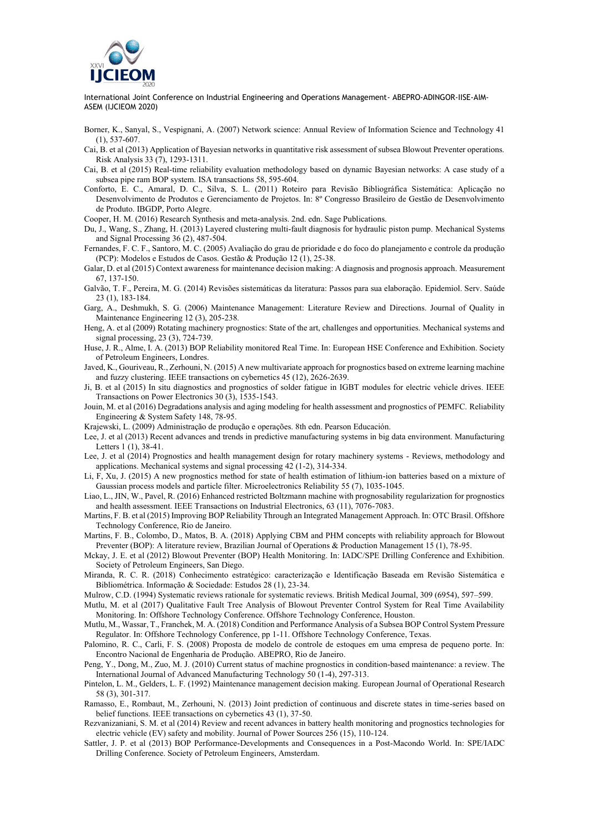

Borner, K., Sanyal, S., Vespignani, A. (2007) Network science: Annual Review of Information Science and Technology 41 (1), 537-607.

Cai, B. et al (2013) Application of Bayesian networks in quantitative risk assessment of subsea Blowout Preventer operations. Risk Analysis 33 (7), 1293-1311.

Cai, B. et al (2015) Real-time reliability evaluation methodology based on dynamic Bayesian networks: A case study of a subsea pipe ram BOP system. ISA transactions 58, 595-604.

Conforto, E. C., Amaral, D. C., Silva, S. L. (2011) Roteiro para Revisão Bibliográfica Sistemática: Aplicação no Desenvolvimento de Produtos e Gerenciamento de Projetos. In: 8º Congresso Brasileiro de Gestão de Desenvolvimento de Produto. IBGDP, Porto Alegre.

Cooper, H. M. (2016) Research Synthesis and meta-analysis. 2nd. edn. Sage Publications.

Du, J., Wang, S., Zhang, H. (2013) Layered clustering multi-fault diagnosis for hydraulic piston pump. Mechanical Systems and Signal Processing 36 (2), 487-504.

Fernandes, F. C. F., Santoro, M. C. (2005) Avaliação do grau de prioridade e do foco do planejamento e controle da produção (PCP): Modelos e Estudos de Casos. Gestão & Produção 12 (1), 25-38.

Galar, D. et al (2015) Context awareness for maintenance decision making: A diagnosis and prognosis approach. Measurement 67, 137-150.

- Galvão, T. F., Pereira, M. G. (2014) Revisões sistemáticas da literatura: Passos para sua elaboração. Epidemiol. Serv. Saúde 23 (1), 183-184.
- Garg, A., Deshmukh, S. G. (2006) Maintenance Management: Literature Review and Directions. Journal of Quality in Maintenance Engineering 12 (3), 205-238.
- Heng, A. et al (2009) Rotating machinery prognostics: State of the art, challenges and opportunities. Mechanical systems and signal processing, 23 (3), 724-739.
- Huse, J. R., Alme, I. A. (2013) BOP Reliability monitored Real Time. In: European HSE Conference and Exhibition. Society of Petroleum Engineers, Londres.
- Javed, K., Gouriveau, R., Zerhouni, N. (2015) A new multivariate approach for prognostics based on extreme learning machine and fuzzy clustering. IEEE transactions on cybernetics 45 (12), 2626-2639.
- Ji, B. et al (2015) In situ diagnostics and prognostics of solder fatigue in IGBT modules for electric vehicle drives. IEEE Transactions on Power Electronics 30 (3), 1535-1543.
- Jouin, M. et al (2016) Degradations analysis and aging modeling for health assessment and prognostics of PEMFC. Reliability Engineering & System Safety 148, 78-95.
- Krajewski, L. (2009) Administração de produção e operações. 8th edn. Pearson Educación.
- Lee, J. et al (2013) Recent advances and trends in predictive manufacturing systems in big data environment. Manufacturing Letters 1 (1), 38-41.
- Lee, J. et al (2014) Prognostics and health management design for rotary machinery systems Reviews, methodology and applications. Mechanical systems and signal processing 42 (1-2), 314-334.
- Li, F, Xu, J. (2015) A new prognostics method for state of health estimation of lithium-ion batteries based on a mixture of Gaussian process models and particle filter. Microelectronics Reliability 55 (7), 1035-1045.
- Liao, L., JIN, W., Pavel, R. (2016) Enhanced restricted Boltzmann machine with prognosability regularization for prognostics and health assessment. IEEE Transactions on Industrial Electronics, 63 (11), 7076-7083.
- Martins, F. B. et al (2015) Improving BOP Reliability Through an Integrated Management Approach. In: OTC Brasil. Offshore Technology Conference, Rio de Janeiro.
- Martins, F. B., Colombo, D., Matos, B. A. (2018) Applying CBM and PHM concepts with reliability approach for Blowout Preventer (BOP): A literature review, Brazilian Journal of Operations & Production Management 15 (1), 78-95.
- Mckay, J. E. et al (2012) Blowout Preventer (BOP) Health Monitoring. In: IADC/SPE Drilling Conference and Exhibition. Society of Petroleum Engineers, San Diego.
- Miranda, R. C. R. (2018) Conhecimento estratégico: caracterização e Identificação Baseada em Revisão Sistemática e Bibliométrica. Informação & Sociedade: Estudos 28 (1), 23-34.
- Mulrow, C.D. (1994) Systematic reviews rationale for systematic reviews. British Medical Journal, 309 (6954), 597–599.
- Mutlu, M. et al (2017) Qualitative Fault Tree Analysis of Blowout Preventer Control System for Real Time Availability Monitoring. In: Offshore Technology Conference. Offshore Technology Conference, Houston.
- Mutlu, M., Wassar, T., Franchek, M. A. (2018) Condition and Performance Analysis of a Subsea BOP Control System Pressure Regulator. In: Offshore Technology Conference, pp 1-11. Offshore Technology Conference, Texas.
- Palomino, R. C., Carli, F. S. (2008) Proposta de modelo de controle de estoques em uma empresa de pequeno porte. In: Encontro Nacional de Engenharia de Produção. ABEPRO, Rio de Janeiro.
- Peng, Y., Dong, M., Zuo, M. J. (2010) Current status of machine prognostics in condition-based maintenance: a review. The International Journal of Advanced Manufacturing Technology 50 (1-4), 297-313.
- Pintelon, L. M., Gelders, L. F. (1992) Maintenance management decision making. European Journal of Operational Research 58 (3), 301-317.
- Ramasso, E., Rombaut, M., Zerhouni, N. (2013) Joint prediction of continuous and discrete states in time-series based on belief functions. IEEE transactions on cybernetics 43 (1), 37-50.
- Rezvanizaniani, S. M. et al (2014) Review and recent advances in battery health monitoring and prognostics technologies for electric vehicle (EV) safety and mobility. Journal of Power Sources 256 (15), 110-124.
- Sattler, J. P. et al (2013) BOP Performance-Developments and Consequences in a Post-Macondo World. In: SPE/IADC Drilling Conference. Society of Petroleum Engineers, Amsterdam.